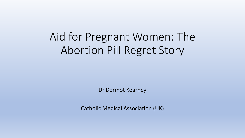# Aid for Pregnant Women: The Abortion Pill Regret Story

Dr Dermot Kearney

Catholic Medical Association (UK)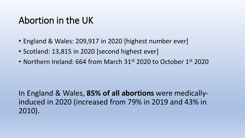## Abortion in the UK

- England & Wales: 209,917 in 2020 [highest number ever]
- Scotland: 13,815 in 2020 [second highest ever]
- Northern Ireland: 664 from March 31st 2020 to October 1st 2020

In England & Wales, **85% of all abortions** were medicallyinduced in 2020 (increased from 79% in 2019 and 43% in 2010).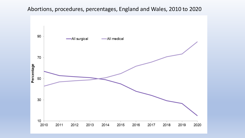#### Abortions, procedures, percentages, England and Wales, 2010 to 2020

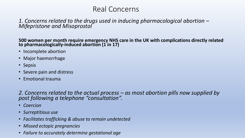#### Real Concerns

#### 1. Concerns related to the drugs used in inducing pharmacological abortion – *Mifepristone and Misoprostol*

**500 women per month require emergency NHS care in the UK with complications directly related to pharmacologically-induced abortion (1 in 17)**

- Incomplete abortion
- Major haemorrhage
- Sepsis
- Severe pain and distress
- Emotional trauma

*2. Concerns related to the actual process – as most abortion pills now supplied by post following a telephone "consultation".*

- *Coercion*
- *Surreptitious use*
- *Facilitates trafficking & abuse to remain undetected*
- *Missed ectopic pregnancies*
- *Failure to accurately determine gestational age*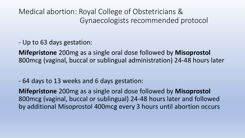Medical abortion: Royal College of Obstetricians & Gynaecologists recommended protocol

- Up to 63 days gestation:

**Mifepristone** 200mg as a single oral dose followed by **Misoprostol**  800mcg (vaginal, buccal or sublingual administration) 24-48 hours later

- 64 days to 13 weeks and 6 days gestation:

**Mifepristone** 200mg as a single oral dose followed by **Misoprostol**  800mcg (vaginal, buccal or sublingual) 24-48 hours later and followed by additional Misoprostol 400mcg every 3 hours until abortion occurs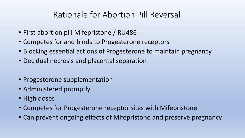## Rationale for Abortion Pill Reversal

- First abortion pill Mifepristone / RU486
- Competes for and binds to Progesterone receptors
- Blocking essential actions of Progesterone to maintain pregnancy
- Decidual necrosis and placental separation
- Progesterone supplementation
- Administered promptly
- High doses
- Competes for Progesterone receptor sites with Mifepristone
- Can prevent ongoing effects of Mifepristone and preserve pregnancy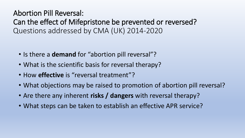Abortion Pill Reversal: Can the effect of Mifepristone be prevented or reversed? Questions addressed by CMA (UK) 2014-2020

- Is there a **demand** for "abortion pill reversal"?
- What is the scientific basis for reversal therapy?
- How **effective** is "reversal treatment"?
- What objections may be raised to promotion of abortion pill reversal?
- Are there any inherent **risks / dangers** with reversal therapy?
- What steps can be taken to establish an effective APR service?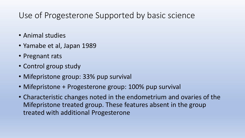## Use of Progesterone Supported by basic science

- Animal studies
- Yamabe et al, Japan 1989
- Pregnant rats
- Control group study
- Mifepristone group: 33% pup survival
- Mifepristone + Progesterone group: 100% pup survival
- Characteristic changes noted in the endometrium and ovaries of the Mifepristone treated group. These features absent in the group treated with additional Progesterone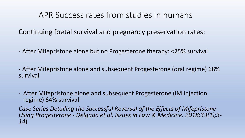### APR Success rates from studies in humans

Continuing foetal survival and pregnancy preservation rates:

- After Mifepristone alone but no Progesterone therapy: <25% survival

- After Mifepristone alone and subsequent Progesterone (oral regime) 68% survival

- After Mifepristone alone and subsequent Progesterone (IM injection regime) 64% survival

*Case Series Detailing the Successful Reversal of the Effects of Mifepristone Using Progesterone* - *Delgado et al, Issues in Law & Medicine. 2018:33(1);3- 14*)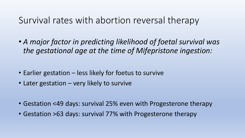## Survival rates with abortion reversal therapy

• *A major factor in predicting likelihood of foetal survival was the gestational age at the time of Mifepristone ingestion:*

- Earlier gestation less likely for foetus to survive
- Later gestation very likely to survive
- Gestation <49 days: survival 25% even with Progesterone therapy
- Gestation >63 days: survival 77% with Progesterone therapy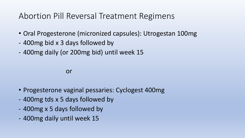## Abortion Pill Reversal Treatment Regimens

- Oral Progesterone (micronized capsules): Utrogestan 100mg
- 400mg bid x 3 days followed by
- 400mg daily (or 200mg bid) until week 15

or

- Progesterone vaginal pessaries: Cyclogest 400mg
- 400mg tds x 5 days followed by
- 400mg x 5 days followed by
- 400mg daily until week 15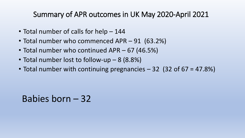#### Summary of APR outcomes in UK May 2020-April 2021

- Total number of calls for help 144
- Total number who commenced APR 91 (63.2%)
- Total number who continued APR 67 (46.5%)
- Total number lost to follow-up 8 (8.8%)
- Total number with continuing pregnancies 32 (32 of 67 = 47.8%)

Babies born – 32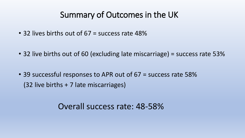## Summary of Outcomes in the UK

- 32 lives births out of 67 = success rate 48%
- 32 live births out of 60 (excluding late miscarriage) = success rate 53%
- 39 successful responses to APR out of 67 = success rate 58% (32 live births + 7 late miscarriages)

### Overall success rate: 48-58%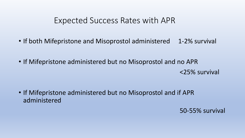#### Expected Success Rates with APR

- If both Mifepristone and Misoprostol administered 1-2% survival
- If Mifepristone administered but no Misoprostol and no APR <25% survival
- If Mifepristone administered but no Misoprostol and if APR administered

50-55% survival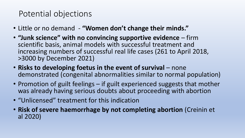## Potential objections

- Little or no demand **"Women don't change their minds."**
- **"Junk science" with no convincing supportive evidence**  firm scientific basis, animal models with successful treatment and increasing numbers of successful real life cases (261 to April 2018, >3000 by December 2021)
- **Risks to developing foetus in the event of survival**  none demonstrated (congenital abnormalities similar to normal population)
- Promotion of guilt feelings if guilt experienced suggests that mother was already having serious doubts about proceeding with abortion
- "Unlicensed" treatment for this indication
- **Risk of severe haemorrhage by not completing abortion** (Creinin et al 2020)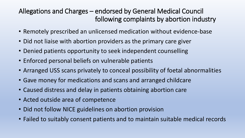#### Allegations and Charges – endorsed by General Medical Council following complaints by abortion industry

- Remotely prescribed an unlicensed medication without evidence-base
- Did not liaise with abortion providers as the primary care giver
- Denied patients opportunity to seek independent counselling
- Enforced personal beliefs on vulnerable patients
- Arranged USS scans privately to conceal possibility of foetal abnormalities
- Gave money for medications and scans and arranged childcare
- Caused distress and delay in patients obtaining abortion care
- Acted outside area of competence
- Did not follow NICE guidelines on abortion provision
- Failed to suitably consent patients and to maintain suitable medical records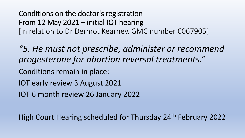Conditions on the doctor's registration From 12 May 2021 – initial IOT hearing [in relation to Dr Dermot Kearney, GMC number 6067905]

*"5. He must not prescribe, administer or recommend progesterone for abortion reversal treatments."*

Conditions remain in place:

IOT early review 3 August 2021

IOT 6 month review 26 January 2022

High Court Hearing scheduled for Thursday 24th February 2022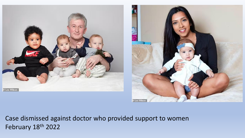



Case dismissed against doctor who provided support to women February 18th 2022